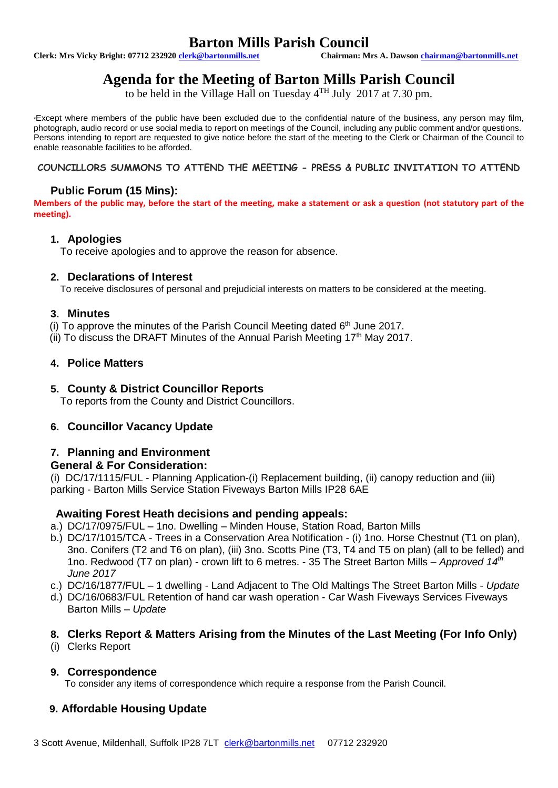## **Barton Mills Parish Council**<br>
Chairman: Mrs A. Dawson chairman@bartonmills.net

**Clerk: Mrs Vicky Bright: 07712 23292[0 clerk@bartonmills.net](mailto:clerk@bartonmills.net) Chairman: Mrs A. Dawson [chairman@bartonmills.net](mailto:chairman@bartonmills.net)**

### **Agenda for the Meeting of Barton Mills Parish Council**

to be held in the Village Hall on Tuesday  $4^{TH}$  July 2017 at 7.30 pm.

\*Except where members of the public have been excluded due to the confidential nature of the business, any person may film, photograph, audio record or use social media to report on meetings of the Council, including any public comment and/or questions. Persons intending to report are requested to give notice before the start of the meeting to the Clerk or Chairman of the Council to enable reasonable facilities to be afforded.

**COUNCILLORS SUMMONS TO ATTEND THE MEETING - PRESS & PUBLIC INVITATION TO ATTEND**

### **Public Forum (15 Mins):**

**Members of the public may, before the start of the meeting, make a statement or ask a question (not statutory part of the meeting).**

#### **1. Apologies**

To receive apologies and to approve the reason for absence.

#### **2. Declarations of Interest**

To receive disclosures of personal and prejudicial interests on matters to be considered at the meeting.

#### **3. Minutes**

(i) To approve the minutes of the Parish Council Meeting dated 6<sup>th</sup> June 2017.

(ii) To discuss the DRAFT Minutes of the Annual Parish Meeting  $17<sup>th</sup>$  May 2017.

#### **4. Police Matters**

#### **5. County & District Councillor Reports**

To reports from the County and District Councillors.

#### **6. Councillor Vacancy Update**

#### **7. Planning and Environment**

#### **General & For Consideration:**

(i) DC/17/1115/FUL - Planning Application-(i) Replacement building, (ii) canopy reduction and (iii) parking - Barton Mills Service Station Fiveways Barton Mills IP28 6AE

#### **Awaiting Forest Heath decisions and pending appeals:**

- a.) DC/17/0975/FUL 1no. Dwelling Minden House, Station Road, Barton Mills
- b.) DC/17/1015/TCA Trees in a Conservation Area Notification (i) 1no. Horse Chestnut (T1 on plan), 3no. Conifers (T2 and T6 on plan), (iii) 3no. Scotts Pine (T3, T4 and T5 on plan) (all to be felled) and 1no. Redwood (T7 on plan) - crown lift to 6 metres. - 35 The Street Barton Mills – *Approved 14th June 2017*
- c.) DC/16/1877/FUL 1 dwelling Land Adjacent to The Old Maltings The Street Barton Mills *Update*
- d.) DC/16/0683/FUL Retention of hand car wash operation Car Wash Fiveways Services Fiveways Barton Mills – *Update*

#### **8. Clerks Report & Matters Arising from the Minutes of the Last Meeting (For Info Only)**

(i) Clerks Report

#### **9. Correspondence**

To consider any items of correspondence which require a response from the Parish Council.

### **9. Affordable Housing Update**